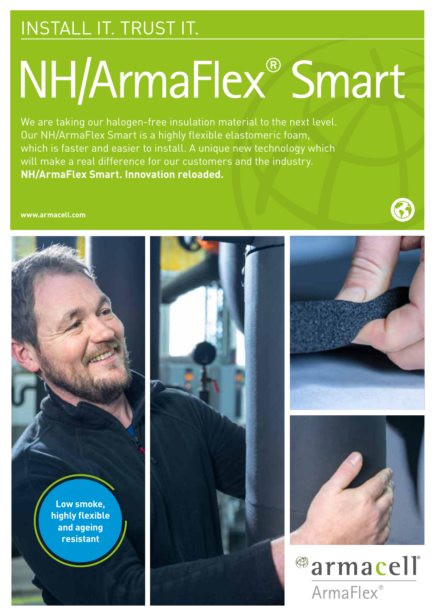### INSTALL IT. TRUST IT.

# NH/ArmaFlex® Smart

We are taking our halogen-free insulation material to the next level. Our NH/ArmaFlex Smart is a highly flexible elastomeric foam, which is faster and easier to install. A unique new technology which will make a real difference for our customers and the industry. **NH/ArmaFlex Smart. Innovation reloaded.**

**www.armacell.com**

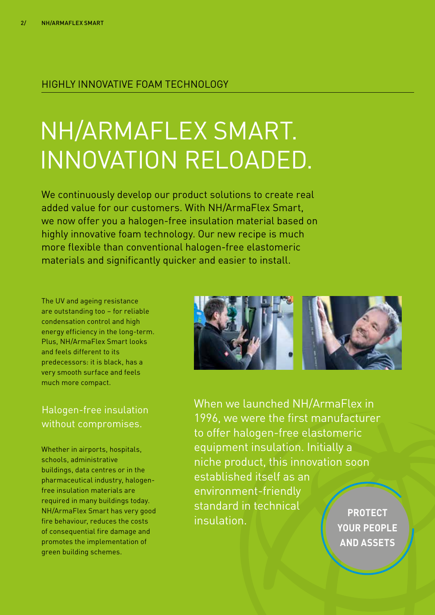#### HIGHLY INNOVATIVE FOAM TECHNOLOGY

## NH/ARMAFLEX SMART. INNOVATION RELOADED.

We continuously develop our product solutions to create real added value for our customers. With NH/ArmaFlex Smart, we now offer you a halogen-free insulation material based on highly innovative foam technology. Our new recipe is much more flexible than conventional halogen-free elastomeric materials and significantly quicker and easier to install.

The UV and ageing resistance are outstanding too – for reliable condensation control and high energy efficiency in the long-term. Plus, NH/ArmaFlex Smart looks and feels different to its predecessors: it is black, has a very smooth surface and feels much more compact.

#### Halogen-free insulation without compromises.

Whether in airports, hospitals, schools, administrative buildings, data centres or in the pharmaceutical industry, halogenfree insulation materials are required in many buildings today. NH/ArmaFlex Smart has very good fire behaviour, reduces the costs of consequential fire damage and promotes the implementation of green building schemes.



When we launched NH/ArmaFlex in 1996, we were the first manufacturer to offer halogen-free elastomeric equipment insulation. Initially a niche product, this innovation soon established itself as an environment-friendly standard in technical insulation. **PROTECT** 

**YOUR PEOPLE AND ASSETS**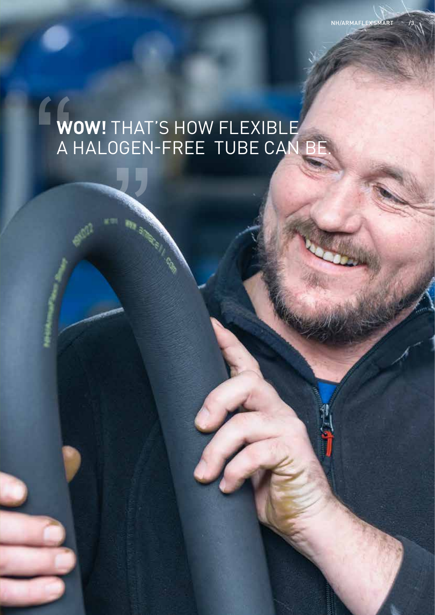# EW<br>A<br>A **WOW!** THAT'S HOW FLEXIBLE A HALOGEN-FREE TUBE CAN BE.

NH/ARMAFLEX SMART

**WESTERN WESTERN WESTERN WESTERN WESTERN WESTERN WESTERN WESTERN WESTERN WESTERN WESTERN WESTERN WESTERN WESTERN WESTERN WESTERN WESTERN WESTERN WESTERN WESTERN WESTERN WESTERN WESTERN WESTERN WESTERN WESTERN WESTERN WESTE**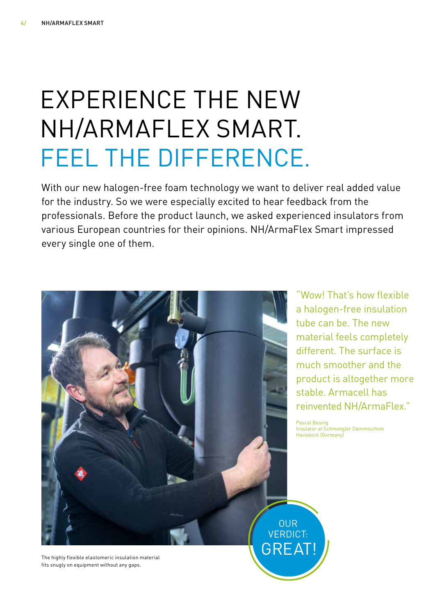## EXPERIENCE THE NEW NH/ARMAFLEX SMART. FEEL THE DIFFERENCE.

With our new halogen-free foam technology we want to deliver real added value for the industry. So we were especially excited to hear feedback from the professionals. Before the product launch, we asked experienced insulators from various European countries for their opinions. NH/ArmaFlex Smart impressed every single one of them.



"Wow! That's how flexible a halogen-free insulation tube can be. The new material feels completely different. The surface is much smoother and the product is altogether more stable. Armacell has reinvented NH/ArmaFlex."

Pascal Beuing Insulator at Schmengler Dämmtechnik Havixbeck (Germany)

The highly flexible elastomeric insulation material fits snugly on equipment without any gaps.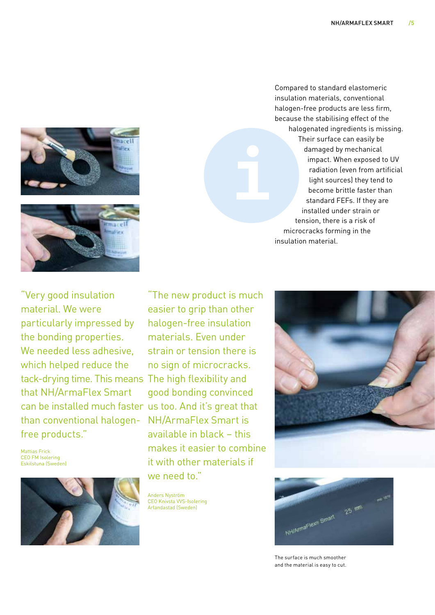



Compared to standard elastomeric insulation materials, conventional halogen-free products are less firm, because the stabilising effect of the halogenated ingredients is missing. Their surface can easily be damaged by mechanical impact. When exposed to UV radiation (even from artificial light sources) they tend to become brittle faster than standard FEFs. If they are installed under strain or tension, there is a risk of microcracks forming in the insulation material.

tack-drying time. This means The high flexibility and can be installed much faster us too. And it's great that "Very good insulation material. We were particularly impressed by the bonding properties. We needed less adhesive, which helped reduce the that NH/ArmaFlex Smart than conventional halogenfree products."

Mattias Frick CEO FM Isolering Eskilstuna (Sweden)



"The new product is much easier to grip than other halogen-free insulation materials. Even under strain or tension there is no sign of microcracks. good bonding convinced NH/ArmaFlex Smart is available in black – this makes it easier to combine it with other materials if we need to."

Anders Nyström CEO Knivsta VVS-Isolering Arlandastad (Sweden)





The surface is much smoother and the material is easy to cut.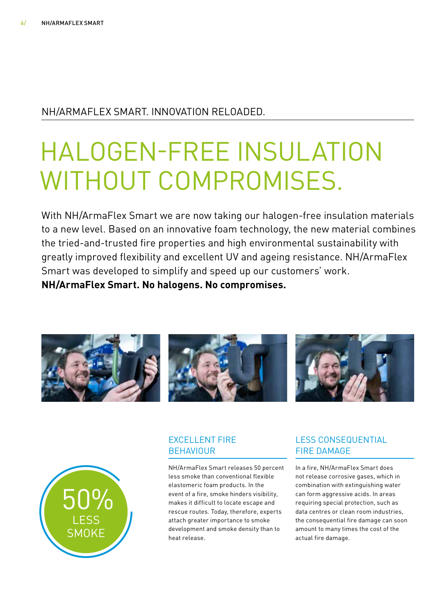#### NH/ARMAFLEX SMART. INNOVATION RELOADED.

## HALOGEN-FREE INSULATION WITHOUT COMPROMISES.

With NH/ArmaFlex Smart we are now taking our halogen-free insulation materials to a new level. Based on an innovative foam technology, the new material combines the tried-and-trusted fire properties and high environmental sustainability with greatly improved flexibility and excellent UV and ageing resistance. NH/ArmaFlex Smart was developed to simplify and speed up our customers' work. **NH/ArmaFlex Smart. No halogens. No compromises.** 





#### EXCELLENT FIRE **BEHAVIOUR**

NH/ArmaFlex Smart releases 50 percent less smoke than conventional flexible elastomeric foam products. In the event of a fire, smoke hinders visibility, makes it difficult to locate escape and rescue routes. Today, therefore, experts attach greater importance to smoke development and smoke density than to heat release.

#### LESS CONSEQUENTIAL FIRE DAMAGE

In a fire, NH/ArmaFlex Smart does not release corrosive gases, which in combination with extinguishing water can form aggressive acids. In areas requiring special protection, such as data centres or clean room industries, the consequential fire damage can soon amount to many times the cost of the actual fire damage.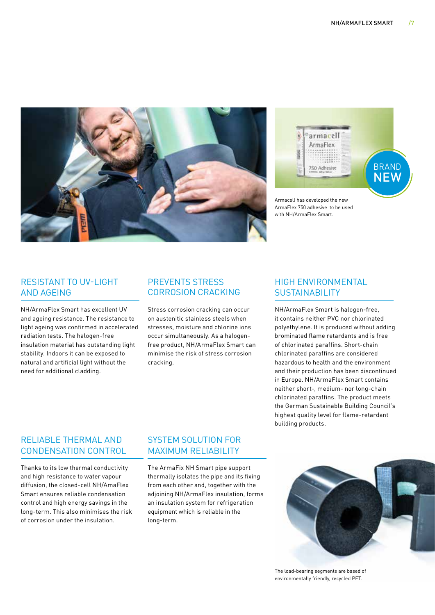



Armacell has developed the new ArmaFlex 750 adhesive to be used with NH/ArmaFlex Smart.

#### RESISTANT TO UV-LIGHT AND AGEING

NH/ArmaFlex Smart has excellent UV and ageing resistance. The resistance to light ageing was confirmed in accelerated radiation tests. The halogen-free insulation material has outstanding light stability. Indoors it can be exposed to natural and artificial light without the need for additional cladding.

#### PREVENTS STRESS CORROSION CRACKING

Stress corrosion cracking can occur on austenitic stainless steels when stresses, moisture and chlorine ions occur simultaneously. As a halogenfree product, NH/ArmaFlex Smart can minimise the risk of stress corrosion cracking.

#### HIGH ENVIRONMENTAL **SUSTAINABILITY**

NH/ArmaFlex Smart is halogen-free, it contains neither PVC nor chlorinated polyethylene. It is produced without adding brominated flame retardants and is free of chlorinated paraffins. Short-chain chlorinated paraffins are considered hazardous to health and the environment and their production has been discontinued in Europe. NH/ArmaFlex Smart contains neither short-, medium- nor long-chain chlorinated paraffins. The product meets the German Sustainable Building Council's highest quality level for flame-retardant building products.

#### RELIABLE THERMAL AND CONDENSATION CONTROL

Thanks to its low thermal conductivity and high resistance to water vapour diffusion, the closed-cell NH/AmaFlex Smart ensures reliable condensation control and high energy savings in the long-term. This also minimises the risk of corrosion under the insulation.

#### SYSTEM SOLUTION FOR MAXIMUM RELIABILITY

The ArmaFix NH Smart pipe support thermally isolates the pipe and its fixing from each other and, together with the adjoining NH/ArmaFlex insulation, forms an insulation system for refrigeration equipment which is reliable in the long-term.



The load-bearing segments are based of environmentally friendly, recycled PET.